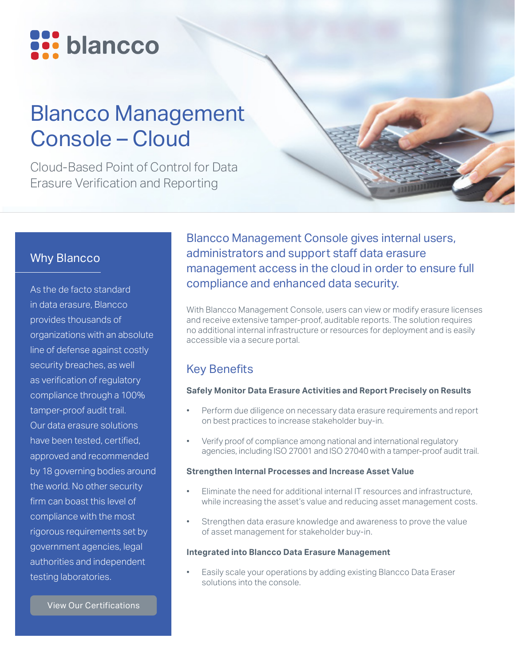

# Blancco Management Console – Cloud

Cloud-Based Point of Control for Data Erasure Verification and Reporting

# Why Blancco

As the de facto standard in data erasure, Blancco provides thousands of organizations with an absolute line of defense against costly security breaches, as well as verification of regulatory compliance through a 100% tamper-proof audit trail. Our data erasure solutions have been tested, certified, approved and recommended by 18 governing bodies around the world. No other security firm can boast this level of compliance with the most rigorous requirements set by government agencies, legal authorities and independent testing laboratories.

Blancco Management Console gives internal users, administrators and support staff data erasure management access in the cloud in order to ensure full compliance and enhanced data security.

With Blancco Management Console, users can view or modify erasure licenses and receive extensive tamper-proof, auditable reports. The solution requires no additional internal infrastructure or resources for deployment and is easily accessible via a secure portal.

# Key Benefits

#### **Safely Monitor Data Erasure Activities and Report Precisely on Results**

- Perform due diligence on necessary data erasure requirements and report on best practices to increase stakeholder buy-in.
- Verify proof of compliance among national and international regulatory agencies, including ISO 27001 and ISO 27040 with a tamper-proof audit trail.

### **Strengthen Internal Processes and Increase Asset Value**

- Eliminate the need for additional internal IT resources and infrastructure, while increasing the asset's value and reducing asset management costs.
- Strengthen data erasure knowledge and awareness to prove the value of asset management for stakeholder buy-in.

#### **Integrated into Blancco Data Erasure Management**

Easily scale your operations by adding existing Blancco Data Eraser solutions into the console.

[View Our Certifications](https://www.blancco.com/wp-content/uploads/2016/06/certifications_fact_sheet_eng.pdf)